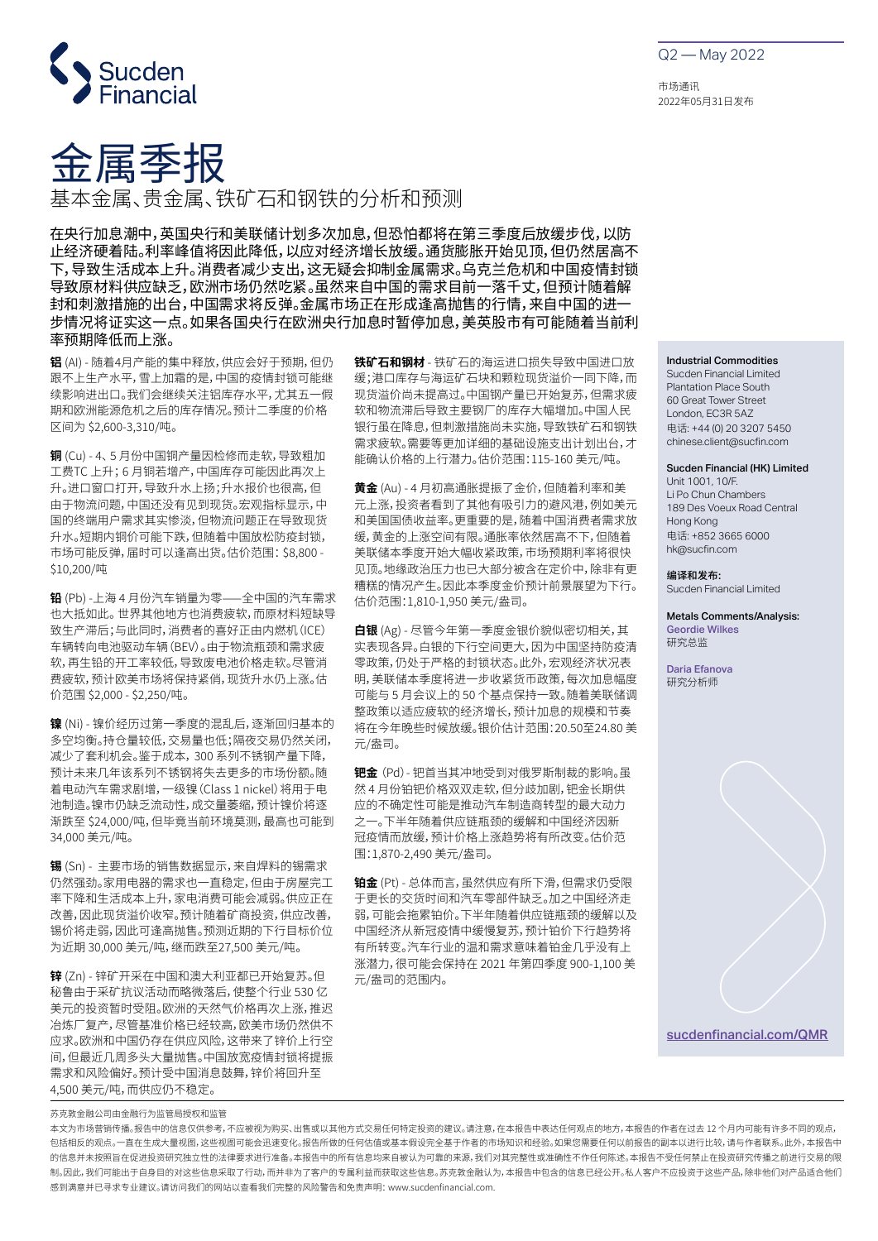

Q2 — May 2022

市场通讯 2022年05月31日发布



基本金属、贵金属、铁矿石和钢铁的分析和预测

在央行加息潮中,英国央行和美联储计划多次加息,但恐怕都将在第三季度后放缓步伐,以防 止经济硬着陆。利率峰值将因此降低,以应对经济增长放缓。通货膨胀开始见顶,但仍然居高不 下,导致生活成本上升。消费者减少支出,这无疑会抑制金属需求。乌克兰危机和中国疫情封锁 导致原材料供应缺乏,欧洲市场仍然吃紧。虽然来自中国的需求目前一落千丈,但预计随着解 封和刺激措施的出台,中国需求将反弹。金属市场正在形成逢高抛售的行情,来自中国的进一 步情况将证实这一点。如果各国央行在欧洲央行加息时暂停加息,美英股市有可能随着当前利 率预期降低而上涨。

**铝** (AI) - 随着4月产能的集中释放,供应会好于预期,但仍 跟不上生产水平,雪上加霜的是,中国的疫情封锁可能继 续影响进出口。我们会继续关注铝库存水平,尤其五一假 期和欧洲能源危机之后的库存情况。预计二季度的价格 区间为 \$2,600-3,310/吨。

**铜** (Cu) - 4、 5 月份中国铜产量因检修而走软,导致粗加 工费TC 上升; 6 月铜若增产,中国库存可能因此再次上 升。进口窗口打开,导致升水上扬;升水报价也很高,但 由于物流问题,中国还没有见到现货。宏观指标显示,中 国的终端用户需求其实惨淡,但物流问题正在导致现货 升水。短期内铜价可能下跌,但随着中国放松防疫封锁, 市场可能反弹,届时可以逢高出货。估价范围: \$8,800 - \$10,200/吨

**铅** (Pb) -上海 4 月份汽车销量为零——全中国的汽车需求 也大抵如此。 世界其他地方也消费疲软,而原材料短缺导 致生产滞后;与此同时,消费者的喜好正由内燃机(ICE) 车辆转向电池驱动车辆(BEV)。由于物流瓶颈和需求疲 软,再生铅的开工率较低,导致废电池价格走软。尽管消 费疲软,预计欧美市场将保持紧俏,现货升水仍上涨。估 价范围 \$2,000 - \$2,250/吨。

**镍** (Ni) - 镍价经历过第一季度的混乱后,逐渐回归基本的 多空均衡。持仓量较低,交易量也低;隔夜交易仍然关闭, 减少了套利机会。鉴于成本, 300 系列不锈钢产量下降, 预计未来几年该系列不锈钢将失去更多的市场份额。随 着电动汽车需求剧增,一级镍(Class 1 nickel)将用于电 池制造。镍市仍缺乏流动性,成交量萎缩,预计镍价将逐 渐跌至 \$24,000/吨,但毕竟当前环境莫测,最高也可能到 34,000 美元/吨。

**锡** (Sn) - 主要市场的销售数据显示,来自焊料的锡需求 仍然强劲。家用电器的需求也一直稳定,但由于房屋完工 率下降和生活成本上升,家电消费可能会减弱。供应正在 改善,因此现货溢价收窄。预计随着矿商投资,供应改善, 锡价将走弱,因此可逢高抛售。预测近期的下行目标价位 为近期 30,000 美元/吨,继而跌至27,500 美元/吨。

**锌** (Zn) - 锌矿开采在中国和澳大利亚都已开始复苏。但 秘鲁由于采矿抗议活动而略微落后,使整个行业 530 亿 美元的投资暂时受阻。欧洲的天然气价格再次上涨,推迟 冶炼厂复产,尽管基准价格已经较高,欧美市场仍然供不 应求。欧洲和中国仍存在供应风险,这带来了锌价上行空 间,但最近几周多头大量抛售。中国放宽疫情封锁将提振 需求和风险偏好。预计受中国消息鼓舞,锌价将回升至 4,500 美元/吨,而供应仍不稳定。

苏克敦金融公司由金融行为监管局授权和监管

**铁矿石和钢材** - 铁矿石的海运进口损失导致中国进口放 缓;港口库存与海运矿石块和颗粒现货溢价一同下降,而 现货溢价尚未提高过。中国钢产量已开始复苏,但需求疲 软和物流滞后导致主要钢厂的库存大幅增加。中国人民 银行虽在降息,但刺激措施尚未实施,导致铁矿石和钢铁 需求疲软。需要等更加详细的基础设施支出计划出台,才 能确认价格的上行潜力。估价范围:115-160 美元/吨。

**黄金** (Au) - 4 月初高通胀提振了金价,但随着利率和美 元上涨,投资者看到了其他有吸引力的避风港,例如美元 和美国国债收益率。更重要的是,随着中国消费者需求放 缓,黄金的上涨空间有限。通胀率依然居高不下,但随着 美联储本季度开始大幅收紧政策,市场预期利率将很快 见顶。地缘政治压力也已大部分被含在定价中,除非有更 糟糕的情况产生。因此本季度金价预计前景展望为下行。 估价范围:1,810-1,950 美元/盎司。

**白银** (Ag) - 尽管今年第一季度金银价貌似密切相关,其 实表现各异。白银的下行空间更大,因为中国坚持防疫清 零政策,仍处于严格的封锁状态。此外,宏观经济状况表 明,美联储本季度将进一步收紧货币政策,每次加息幅度 可能与 5 月会议上的 50 个基点保持一致。随着美联储调 整政策以适应疲软的经济增长,预计加息的规模和节奏 将在今年晚些时候放缓。银价估计范围:20.50至24.80 美 元/盎司。

**钯金** (Pd)- 钯首当其冲地受到对俄罗斯制裁的影响。虽 然 4 月份铂钯价格双双走软,但分歧加剧,钯金长期供 应的不确定性可能是推动汽车制造商转型的最大动力 之一。下半年随着供应链瓶颈的缓解和中国经济因新 冠疫情而放缓,预计价格上涨趋势将有所改变。估价范 围:1,870-2,490 美元/盎司。

**铂金** (Pt) - 总体而言,虽然供应有所下滑,但需求仍受限 于更长的交货时间和汽车零部件缺乏。加之中国经济走 弱,可能会拖累铂价。下半年随着供应链瓶颈的缓解以及 中国经济从新冠疫情中缓慢复苏,预计铂价下行趋势将 有所转变。汽车行业的温和需求意味着铂金几乎没有上 涨潜力,很可能会保持在 2021 年第四季度 900-1,100 美 元/盎司的范围内。

### Industrial Commodities

Sucden Financial Limited Plantation Place South 60 Great Tower Street London, EC3R 5AZ 电话: +44 (0) 20 3207 5450 chinese.client@sucfin.com

#### Sucden Financial (HK) Limited

Unit 1001, 10/F. Li Po Chun Chambers 189 Des Voeux Road Central Hong Kong 电话: +852 3665 6000 hk@sucfin.com

## 编译和发布:

Sucden Financial Limited

Metals Comments/Analysis: Geordie Wilkes 研究总监

Daria Efanova 研究分析师



本文为市场营销传播。报告中的信息仅供参考,不应被视为购买、出售或以其他方式交易任何特定投资的建议。请注意,在本报告中表达任何观点的地方,本报告的作者在过去 12 个月内可能有许多不同的观点, 包括相反的观点。一直在生成大量视图,这些视图可能会迅速变化。报告所做的任何估值或基本假设完全基于作者的市场知识和经验。如果您需要任何以前报告的副本以进行比较,请与作者联系。此外,本报告中 的信息并未按照旨在促进投资研究独立性的法律要求进行准备。本报告中的所有信息均来自被认为可靠的来源,我们对其完整性或准确性不作任何陈述。本报告不受任何禁止在投资研究传播之前进行交易的限 制。因此,我们可能出于自身目的对这些信息采取了行动,而并非为了客户的专属利益而获取这些信息。苏克敦金融认为,本报告中包含的信息已经公开。私人客户不应投资于这些产品,除非他们对产品适合他们 感到满意并已寻求专业建议。请访问我们的网站以查看我们完整的风险警告和免责声明: www.sucdenfinancial.com.